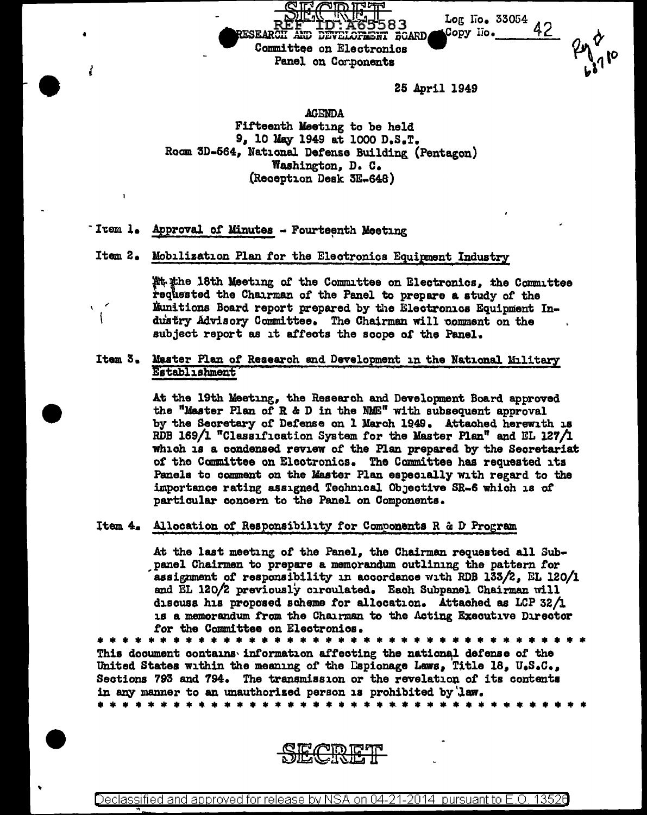

25 April 1949

**AGENDA** Fifteenth Meeting to be held 9, 10 May 1949 at 1000 D.S.T. Room 3D-564, National Defense Building (Pentagon) Washington, D. C. (Reception Desk 3E-648)

Item l. Approval of Minutes - Fourteenth Meeting

V

Item 2. Mobilization Plan for the Electronics Equipment Industry

At the 18th Meeting of the Committee on Electronics. the Committee requested the Chairman of the Panel to prepare a study of the Munitions Board report prepared by the Electronics Equipment Industry Advisory Committee. The Chairman will comment on the subject report as it affects the scope of the Panel.

Item 3. Master Plan of Research and Development in the National Military Establishment

> At the 19th Meeting, the Research and Development Board approved the "Master Plan of R & D in the NME" with subsequent approval by the Secretary of Defense on 1 March 1949. Attached herewith is RDB 169/1 "Classification System for the Master Plan" and EL 127/1 which is a condensed review of the Plan prepared by the Secretariat of the Committee on Electronics. The Committee has requested its Panels to comment on the Master Plan especially with regard to the importance rating assigned Technical Objective SR-6 which is of particular concern to the Panel on Components.

Item 4. Allocation of Responsibility for Components R & D Program

At the last meeting of the Panel, the Chairman requested all Subpanel Chairmen to prepare a memorandum outlining the pattern for assignment of responsibility in accordance with RDB 133/2, EL 120/1 and EL 120/2 previously circulated. Each Subpanel Chairman will discuss his proposed scheme for allocation. Attached as LCP 32/1 1s a memorandum from the Chairman to the Acting Executive Director for the Committee on Electronics.

This document contains information affecting the national defense of the United States within the meaning of the Espionage Laws, Title 18, U.S.C., Sections 793 and 794. The transmission or the revelation of its contents in any manner to an unauthorized person is prohibited by law. 

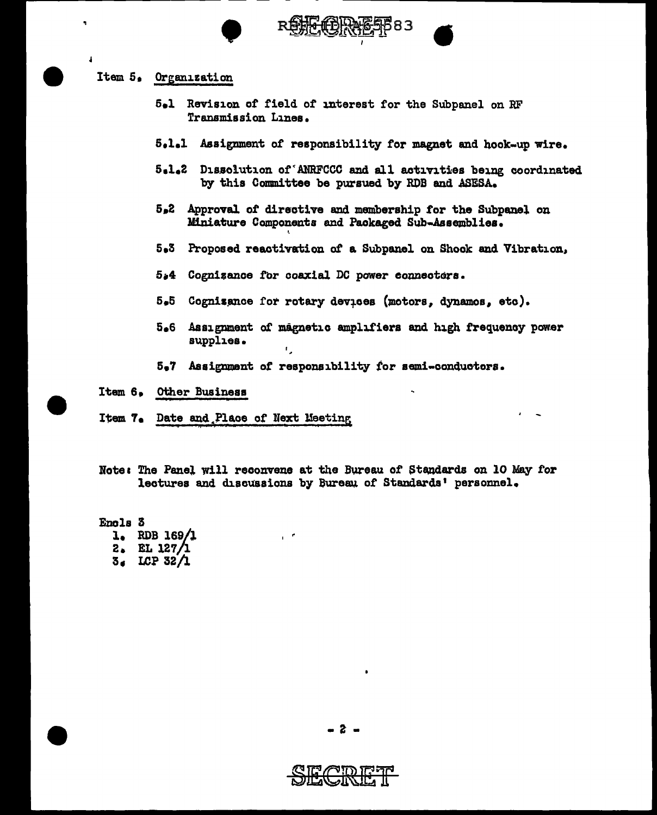



## Item 5, Organization

- 5el Revision *ot* field of J.nterest for the Subpanel on RF Transmission Lines.
- 5,1.1 .Assignment of responsibility for magnet and book-up wire.
- s.1.2 Dissolution of'AllRFCCC and all activities being coordinated by this Committee be pursued by ROB and ASESA.
- s.2 Approval of directive and membership for the Subpanel on Miniature Components and Packaged Sub-Assemblies.
- ' 5.3 Proposed reactivation of a Subpanel on Shock and Vibration,
- $5*4$  Cognizance for coaxial DC power connectors.
- 5.5 Cognisance for rotary devices (motors, dynamos, etc).
- 5.6 Assignment of magnetic amplifiers and high frequency power supplies.  $\mathbf{r}$ .
- 5.7 Assignment of responsibility for semi-conductors.
- Item 6, other Busineaa
- Item 7. Date and Place of Next Meeting '
- Note: The Panel will reconvene at the Bureau of Standards on 10 May for lectures and discussions by Bureau of Standards' personnel.

Enola 3

- le RDB 169/l  $2.$  EL 127/1
- 3• LCP 32/l

 $-2 -$ 

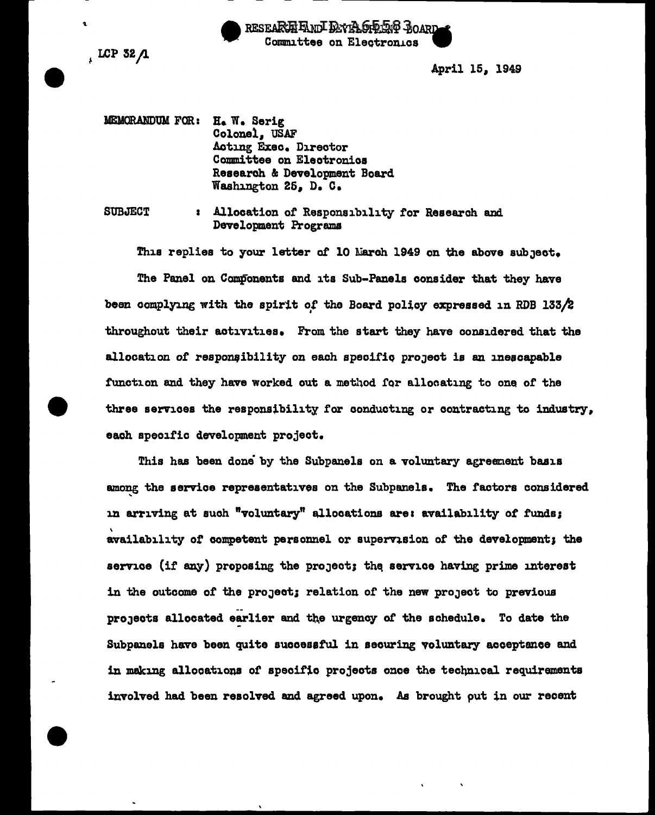

 $\sqrt{LCP}$  32  $\Lambda$ 

t

April 15, 1949

MEMORANDUM FOR: H. W. Serig Colonel, USAF Acting Exec. Director Committee on Eleotronios Research & Development Board Washington 26, D. c.

SUBJECT 1 Allocation of Responsibility for Research and Development Programs

This replies to your letter of 10 March 1949 on the above subject.

The Panel on Components and its Sub-Panels consider that they have been complying with the spirit of the Board policy expressed in RDB 133/2 throughout their activities. From the start they have considered that the allocation of responsibility on each specific project is an inescapable function and they have worked out a method for allocating to one of the three services the responsibility for conducting or contracting to industry, each specific development project.

This has been done by the Subpanels on a voluntary agreement basis among the service representatives on the Subpanels. The factors considered in arriving at such "voluntary" allocations are: availability of funds; \ availability of competent personnel or supervision of the development; the service (if any) proposing the project; the service having prime interest in the outcome of the project; relation of the new project to previous projects allocated earlier and the urgency of the schedule. To date the Subpanels have been quite sucoesatul in securing voluntary acceptance and in making allocations of specific projects once the technical requirements involved had been resolved and agreed upon. As brought put in our recent